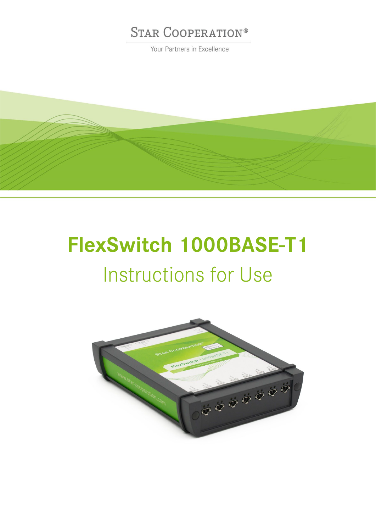Your Partners in Excellence



# **FlexSwitch 1000BASE-T1** Instructions for Use

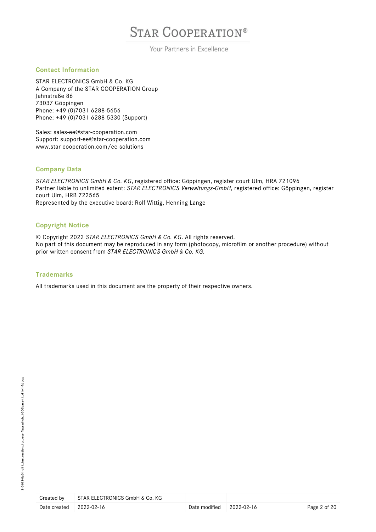Your Partners in Excellence

## **Contact Information**

STAR ELECTRONICS GmbH & Co. KG A Company of the STAR COOPERATION Group Jahnstraße 86 73037 Göppingen Phone: +49 (0)7031 6288-5656 Phone: +49 (0)7031 6288-5330 (Support)

Sales: [sales-ee@star-cooperation.com](mailto:sales-ee@star-cooperation.com) Support: [support-ee@star-cooperation.com](mailto:support-ee@star-cooperation.com) www.star-cooperation.com/ee-solutions

### **Company Data**

*STAR ELECTRONICS GmbH & Co. KG*, registered office: Göppingen, register court Ulm, HRA 721096 Partner liable to unlimited extent: *STAR ELECTRONICS Verwaltungs-GmbH*, registered office: Göppingen, register court Ulm, HRB 722565 Represented by the executive board: Rolf Wittig, Henning Lange

### **Copyright Notice**

© Copyright 2022 *STAR ELECTRONICS GmbH & Co. KG*. All rights reserved. No part of this document may be reproduced in any form (photocopy, microfilm or another procedure) without prior written consent from *STAR ELECTRONICS GmbH & Co. KG.* 

### **Trademarks**

All trademarks used in this document are the property of their respective owners.

| Created by              | STAR ELECTRONICS GmbH & Co. KG |                                      |              |
|-------------------------|--------------------------------|--------------------------------------|--------------|
| Date created 2022-02-16 |                                | Date modified $\parallel$ 2022-02-16 | Page 2 of 20 |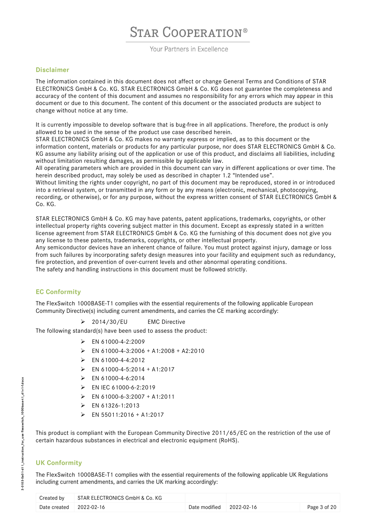Your Partners in Excellence

#### **Disclaimer**

The information contained in this document does not affect or change General Terms and Conditions of STAR ELECTRONICS GmbH & Co. KG. STAR ELECTRONICS GmbH & Co. KG does not guarantee the completeness and accuracy of the content of this document and assumes no responsibility for any errors which may appear in this document or due to this document. The content of this document or the associated products are subject to change without notice at any time.

It is currently impossible to develop software that is bug-free in all applications. Therefore, the product is only allowed to be used in the sense of the product use case described herein.

STAR ELECTRONICS GmbH & Co. KG makes no warranty express or implied, as to this document or the information content, materials or products for any particular purpose, nor does STAR ELECTRONICS GmbH & Co. KG assume any liability arising out of the application or use of this product, and disclaims all liabilities, including without limitation resulting damages, as permissible by applicable law.

All operating parameters which are provided in this document can vary in different applications or over time. The herein described product, may solely be used as described in chapter 1.2 "Intended use".

Without limiting the rights under copyright, no part of this document may be reproduced, stored in or introduced into a retrieval system, or transmitted in any form or by any means (electronic, mechanical, photocopying, recording, or otherwise), or for any purpose, without the express written consent of STAR ELECTRONICS GmbH & Co. KG.

STAR ELECTRONICS GmbH & Co. KG may have patents, patent applications, trademarks, copyrights, or other intellectual property rights covering subject matter in this document. Except as expressly stated in a written license agreement from STAR ELECTRONICS GmbH & Co. KG the furnishing of this document does not give you any license to these patents, trademarks, copyrights, or other intellectual property.

Any semiconductor devices have an inherent chance of failure. You must protect against injury, damage or loss from such failures by incorporating safety design measures into your facility and equipment such as redundancy, fire protection, and prevention of over-current levels and other abnormal operating conditions. The safety and handling instructions in this document must be followed strictly.

## **EC Conformity**

The FlexSwitch 1000BASE-T1 complies with the essential requirements of the following applicable European Community Directive(s) including current amendments, and carries the CE marking accordingly:

▶ 2014/30/EU EMC Directive

The following standard(s) have been used to assess the product:

- $\triangleright$  EN 61000-4-2:2009
- $\triangleright$  EN 61000-4-3:2006 + A1:2008 + A2:2010
- EN 61000-4-4:2012
- EN 61000-4-5:2014 + A1:2017
- $\triangleright$  FN 61000-4-6:2014
- $\triangleright$  EN IEC 61000-6-2:2019
- $\triangleright$  EN 61000-6-3:2007 + A1:2011
- $\triangleright$  EN 61326-1:2013
- $\triangleright$  EN 55011:2016 + A1:2017

This product is compliant with the European Community Directive 2011/65/EC on the restriction of the use of certain hazardous substances in electrical and electronic equipment (RoHS).

## **UK Conformity**

The FlexSwitch 1000BASE-T1 complies with the essential requirements of the following applicable UK Regulations including current amendments, and carries the UK marking accordingly:

| Created by   | STAR ELECTRONICS GmbH & Co. KG |                                      |              |
|--------------|--------------------------------|--------------------------------------|--------------|
| Date created | 2022-02-16                     | Date modified $\parallel$ 2022-02-16 | Page 3 of 20 |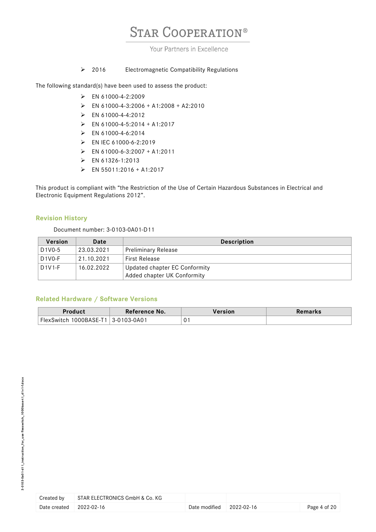## Your Partners in Excellence

### > 2016 Electromagnetic Compatibility Regulations

The following standard(s) have been used to assess the product:

- EN 61000-4-2:2009
- $\triangleright$  EN 61000-4-3:2006 + A1:2008 + A2:2010
- $\triangleright$  EN 61000-4-4:2012
- $\triangleright$  EN 61000-4-5:2014 + A1:2017
- EN 61000-4-6:2014
- EN IEC 61000-6-2:2019
- $\triangleright$  EN 61000-6-3:2007 + A1:2011
- EN 61326-1:2013
- $\triangleright$  EN 55011:2016 + A1:2017

This product is compliant with "the Restriction of the Use of Certain Hazardous Substances in Electrical and Electronic Equipment Regulations 2012".

### **Revision History**

Document number: 3-0103-0A01-D11

| <b>Version</b>                   | Date       | <b>Description</b>            |  |
|----------------------------------|------------|-------------------------------|--|
| D <sub>1</sub> V <sub>0</sub> -5 | 23.03.2021 | ' Preliminary Release         |  |
| $D1VO-F$                         | 21.10.2021 | <b>First Release</b>          |  |
| $D1V1-F$                         | 16.02.2022 | Updated chapter EC Conformity |  |
|                                  |            | Added chapter UK Conformity   |  |

### **Related Hardware / Software Versions**

| roduct <sup>,</sup> | Reference No. | Version | 'emarks |
|---------------------|---------------|---------|---------|
| FlexSwitch          | 103-0A01 ا    | ∩.      |         |
| 1000BASE-1          | 3-0           | υ.      |         |

| Created by                       | STAR ELECTRONICS GmbH & Co. KG |                                      |              |
|----------------------------------|--------------------------------|--------------------------------------|--------------|
| Date created $\qquad$ 2022-02-16 |                                | Date modified $\parallel$ 2022-02-16 | Page 4 of 20 |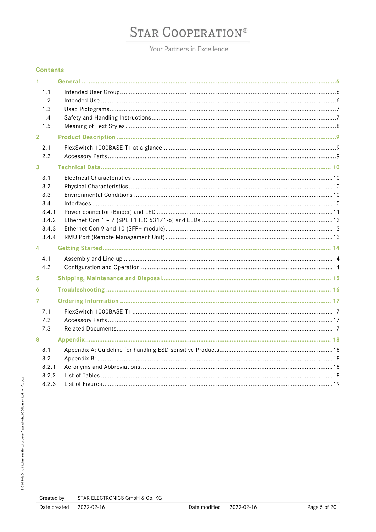Your Partners in Excellence

### **Contents**

| 1              |              |  |
|----------------|--------------|--|
|                | 1.1          |  |
|                | 1.2          |  |
|                | 1.3          |  |
|                | 1.4<br>1.5   |  |
| $\overline{2}$ |              |  |
|                |              |  |
|                | 2.1          |  |
|                | 2.2          |  |
| 3              |              |  |
|                | 3.1          |  |
|                | 3.2          |  |
|                | 3.3          |  |
|                | 3.4<br>3.4.1 |  |
|                | 3.4.2        |  |
|                | 3.4.3        |  |
|                | 3.4.4        |  |
| 4              |              |  |
|                | 4.1          |  |
|                | 4.2          |  |
| 5              |              |  |
| 6              |              |  |
| 7              |              |  |
|                | 7.1          |  |
|                | 7.2          |  |
|                | 7.3          |  |
| 8              |              |  |
|                | 8.1          |  |
|                | 8.2          |  |
|                | 8.2.1        |  |
|                | 8.2.2        |  |
|                | 8.2.3        |  |

| Created by   | STAR ELECTRONICS GmbH & Co. KG |               |            |
|--------------|--------------------------------|---------------|------------|
| Date created | 2022-02-16                     | Date modified | 2022-02-16 |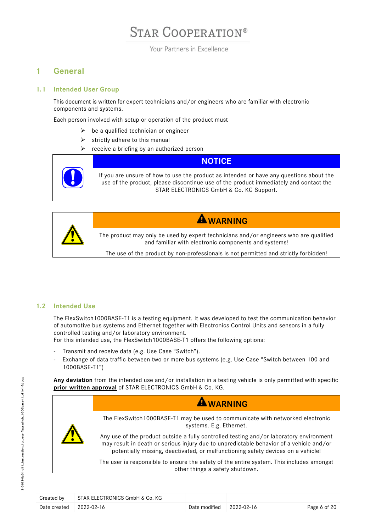Your Partners in Excellence

## <span id="page-5-0"></span>**1 General**

### <span id="page-5-1"></span>**1.1 Intended User Group**

This document is written for expert technicians and/or engineers who are familiar with electronic components and systems.

Each person involved with setup or operation of the product must

- $\triangleright$  be a qualified technician or engineer
- $\triangleright$  strictly adhere to this manual
- $\triangleright$  receive a briefing by an authorized person





### <span id="page-5-2"></span>**1.2 Intended Use**

The FlexSwitch1000BASE-T1 is a testing equipment. It was developed to test the communication behavior of automotive bus systems and Ethernet together with Electronics Control Units and sensors in a fully controlled testing and/or laboratory environment.

For this intended use, the FlexSwitch1000BASE-T1 offers the following options:

- Transmit and receive data (e.g. Use Case "Switch").
- Exchange of data traffic between two or more bus systems (e.g. Use Case "Switch between 100 and 1000BASE-T1")

**Any deviation** from the intended use and/or installation in a testing vehicle is only permitted with specific **prior written approval** of STAR ELECTRONICS GmbH & Co. KG.

|  | <b>AWARNING</b>                                                                                                                                                                                                                                                        |
|--|------------------------------------------------------------------------------------------------------------------------------------------------------------------------------------------------------------------------------------------------------------------------|
|  | The FlexSwitch 1000BASE-T1 may be used to communicate with networked electronic<br>systems. E.g. Ethernet.                                                                                                                                                             |
|  | Any use of the product outside a fully controlled testing and/or laboratory environment<br>may result in death or serious injury due to unpredictable behavior of a vehicle and/or<br>potentially missing, deactivated, or malfunctioning safety devices on a vehicle! |
|  | The user is responsible to ensure the safety of the entire system. This includes amongst<br>other things a safety shutdown.                                                                                                                                            |

| Created by              | STAR ELECTRONICS GmbH & Co. KG |                                   |              |
|-------------------------|--------------------------------|-----------------------------------|--------------|
| Date created 2022-02-16 |                                | Date modified $\qquad$ 2022-02-16 | Page 6 of 20 |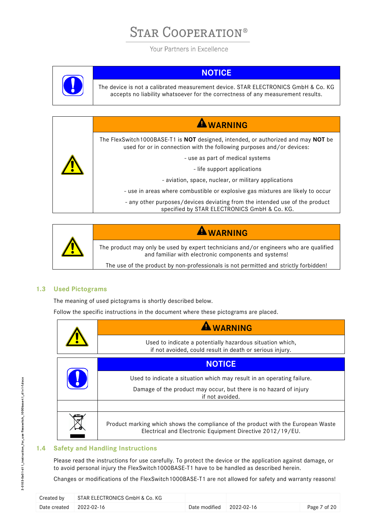Your Partners in Excellence



## **NOTICE**

The device is not a calibrated measurement device. STAR ELECTRONICS GmbH & Co. KG accepts no liability whatsoever for the correctness of any measurement results.





**WARNING**

The product may only be used by expert technicians and/or engineers who are qualified and familiar with electronic components and systems!

The use of the product by non-professionals is not permitted and strictly forbidden!

## <span id="page-6-0"></span>**1.3 Used Pictograms**

The meaning of used pictograms is shortly described below.

Follow the specific instructions in the document where these pictograms are placed.

| <b>WARNING</b>                                                                                                                                 |
|------------------------------------------------------------------------------------------------------------------------------------------------|
| Used to indicate a potentially hazardous situation which,<br>if not avoided, could result in death or serious injury.                          |
| <b>NOTICE</b>                                                                                                                                  |
| Used to indicate a situation which may result in an operating failure.                                                                         |
| Damage of the product may occur, but there is no hazard of injury<br>if not avoided.                                                           |
|                                                                                                                                                |
| Product marking which shows the compliance of the product with the European Waste<br>Electrical and Electronic Equipment Directive 2012/19/EU. |

## <span id="page-6-1"></span>**1.4 Safety and Handling Instructions**

Please read the instructions for use carefully. To protect the device or the application against damage, or to avoid personal injury the FlexSwitch1000BASE-T1 have to be handled as described herein.

Changes or modifications of the FlexSwitch1000BASE-T1 are not allowed for safety and warranty reasons!

| Created by                       | STAR ELECTRONICS GmbH & Co. KG |                                   |              |
|----------------------------------|--------------------------------|-----------------------------------|--------------|
| Date created $\qquad$ 2022-02-16 |                                | Date modified $\qquad$ 2022-02-16 | Page 7 of 20 |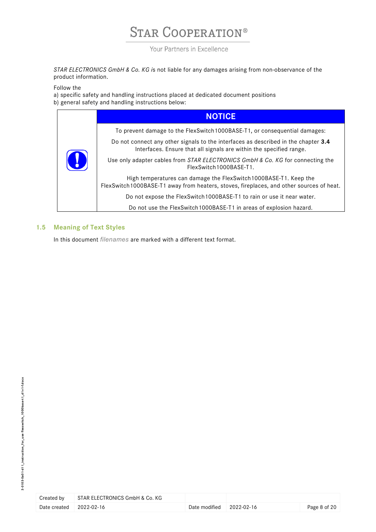Your Partners in Excellence

*STAR ELECTRONICS GmbH & Co. KG i*s not liable for any damages arising from non-observance of the product information.

Follow the

a) specific safety and handling instructions placed at dedicated document positions

b) general safety and handling instructions below:

| $\mathbf{I}$ | <b>NOTICE</b>                                                                                                                                                 |
|--------------|---------------------------------------------------------------------------------------------------------------------------------------------------------------|
|              | To prevent damage to the FlexSwitch 1000BASE-T1, or consequential damages:                                                                                    |
|              | Do not connect any other signals to the interfaces as described in the chapter 3.4<br>Interfaces. Ensure that all signals are within the specified range.     |
|              | Use only adapter cables from STAR ELECTRONICS GmbH & Co. KG for connecting the<br>FlexSwitch1000BASF-T1.                                                      |
|              | High temperatures can damage the FlexSwitch 1000BASE-T1. Keep the<br>FlexSwitch 1000BASE-T1 away from heaters, stoves, fireplaces, and other sources of heat. |
|              | Do not expose the FlexSwitch 1000BASE-T1 to rain or use it near water.                                                                                        |
|              | Do not use the FlexSwitch1000BASE-T1 in areas of explosion hazard.                                                                                            |

## <span id="page-7-0"></span>**1.5 Meaning of Text Styles**

In this document *filenames* are marked with a different text format.

| Created by              | STAR ELECTRONICS GmbH & Co. KG |                                      |              |
|-------------------------|--------------------------------|--------------------------------------|--------------|
| Date created 2022-02-16 |                                | Date modified $\parallel$ 2022-02-16 | Page 8 of 20 |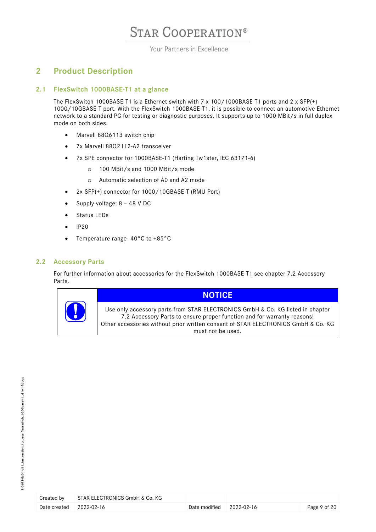### Your Partners in Excellence

## <span id="page-8-0"></span>**2 Product Description**

### **2.1 FlexSwitch 1000BASE-T1 at a glance**

<span id="page-8-1"></span>The FlexSwitch 1000BASE-T1 is a Ethernet switch with 7 x 100/1000BASE-T1 ports and 2 x SFP(+) 1000/10GBASE-T port. With the FlexSwitch 1000BASE-T1, it is possible to connect an automotive Ethernet network to a standard PC for testing or diagnostic purposes. It supports up to 1000 MBit/s in full duplex mode on both sides.

- Marvell 88Q6113 switch chip
- 7x Marvell 88Q2112-A2 transceiver
- 7x SPE connector for 1000BASE-T1 (Harting Tw1ster, IEC 63171-6)
	- o 100 MBit/s and 1000 MBit/s mode
	- o Automatic selection of A0 and A2 mode
- 2x SFP(+) connector for 1000/10GBASE-T (RMU Port)
- Supply voltage: 8 48 V DC
- Status LEDs
- IP20
- Temperature range -40°C to +85°C

### <span id="page-8-2"></span>**2.2 Accessory Parts**

For further information about accessories for the FlexSwitch 1000BASE-T1 see chapter [7.2](#page-16-2) [Accessory](#page-16-2)  [Parts.](#page-16-2)



## **NOTICE**

Use only accessory parts from STAR ELECTRONICS GmbH & Co. KG listed in chapter [7.2](#page-16-2) [Accessory Parts](#page-16-2) to ensure proper function and for warranty reasons! Other accessories without prior written consent of STAR ELECTRONICS GmbH & Co. KG must not be used.

| Created by              | STAR ELECTRONICS GmbH & Co. KG |                                      |              |
|-------------------------|--------------------------------|--------------------------------------|--------------|
| Date created 2022-02-16 |                                | Date modified $\parallel$ 2022-02-16 | Page 9 of 20 |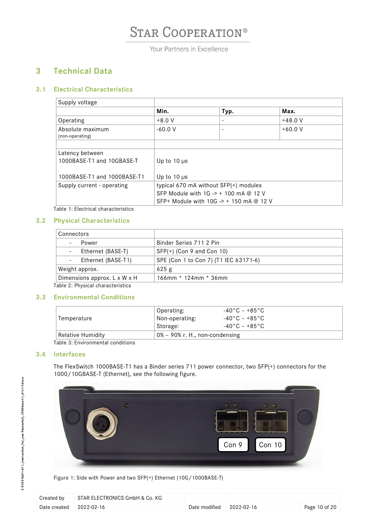Your Partners in Excellence

## <span id="page-9-0"></span>**3 Technical Data**

## <span id="page-9-1"></span>**3.1 Electrical Characteristics**

| Supply voltage                               |                                                  |      |           |
|----------------------------------------------|--------------------------------------------------|------|-----------|
|                                              | Min.                                             | Typ. | Max.      |
| Operating                                    | $+8.0 V$                                         |      | $+48.0$ V |
| Absolute maximum<br>(non-operating)          | $-60.0V$                                         |      | $+60.0$ V |
|                                              |                                                  |      |           |
| Latency between<br>1000BASE-T1 and 10GBASE-T | Up to $10 \mu s$                                 |      |           |
| 1000BASE-T1 and 1000BASE-T1                  | Up to $10 \mu s$                                 |      |           |
| Supply current - operating                   | typical 670 mA without SFP(+) modules            |      |           |
|                                              | SFP Module with $1G \rightarrow + 100$ mA @ 12 V |      |           |
|                                              | SFP+ Module with 10G -> + 150 mA @ 12 V          |      |           |

Table 1: Electrical characteristics

### <span id="page-9-5"></span><span id="page-9-2"></span>**3.2 Physical Characteristics**

| Connectors                                     |                                       |
|------------------------------------------------|---------------------------------------|
| - Power                                        | Binder Series 711 2 Pin               |
| - Ethernet (BASE-T)                            | $SFP(+)$ (Con 9 and Con 10)           |
| Ethernet (BASE-T1)<br>$\overline{\phantom{a}}$ | SPE (Con 1 to Con 7) (T1 IEC 63171-6) |
| Weight approx.                                 | 625g                                  |
| Dimensions approx. L x W x H                   | $166$ mm * 124mm * 36mm               |

Table 2: Physical characteristics

### <span id="page-9-6"></span><span id="page-9-3"></span>**3.3 Environmental Conditions**

| Temperature                                   | Operating:<br>Non-operating:      | -40°C – +85°C<br>$-40\degree$ C – +85 $\degree$ C – |
|-----------------------------------------------|-----------------------------------|-----------------------------------------------------|
|                                               | Storage:                          | -40°C – +85°C                                       |
| Relative Humidity<br><del>.</del><br>$\cdots$ | $0\%$ – 90% r. H., non-condensing |                                                     |

Table 3: Environmental conditions

### <span id="page-9-7"></span><span id="page-9-4"></span>**3.4 Interfaces**

The FlexSwitch 1000BASE-T1 has a Binder series 711 power connector, two SFP(+) connectors for the 1000/10GBASE-T (Ethernet), see the following figure.



Figure 1: Side with Power and two SFP(+) Ethernet (10G/1000BASE-T)

<span id="page-9-8"></span>

| Created by   | STAR ELECTRONICS GmbH & Co. KG |                                      |               |
|--------------|--------------------------------|--------------------------------------|---------------|
| Date created | 2022-02-16                     | Date modified $\parallel$ 2022-02-16 | Page 10 of 20 |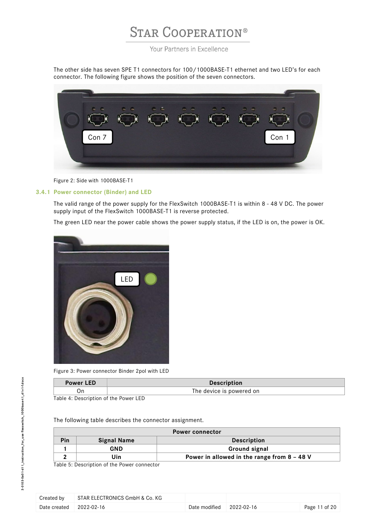Your Partners in Excellence

The other side has seven SPE T1 connectors for 100/1000BASE-T1 ethernet and two LED's for each connector. The following figure shows the position of the seven connectors.



Figure 2: Side with 1000BASE-T1

### <span id="page-10-3"></span><span id="page-10-0"></span>**3.4.1 Power connector (Binder) and LED**

The valid range of the power supply for the FlexSwitch 1000BASE-T1 is within 8 - 48 V DC. The power supply input of the FlexSwitch 1000BASE-T1 is reverse protected.

The green LED near the power cable shows the power supply status, if the LED is on, the power is OK.



Figure 3: Power connector Binder 2pol with LED

<span id="page-10-4"></span>

| <b>Power LED</b> | <b>Description</b>       |
|------------------|--------------------------|
|                  | The device is powered on |
| $\blacksquare$   |                          |

<span id="page-10-1"></span>Table 4: Description of the Power LED

The following table describes the connector assignment.

| <b>Power connector</b> |                                              |                                               |  |
|------------------------|----------------------------------------------|-----------------------------------------------|--|
| Pin                    | <b>Signal Name</b>                           | <b>Description</b>                            |  |
|                        | GND                                          | Ground signal                                 |  |
|                        | Uin                                          | Power in allowed in the range from $8 - 48$ V |  |
|                        | Table E. Dessuisties of the Denieu connectes |                                               |  |

<span id="page-10-2"></span>Table 5: Description of the Power connector

| Created by   | STAR ELECTRONICS GmbH & Co. KG |                                      |               |
|--------------|--------------------------------|--------------------------------------|---------------|
| Date created | 2022-02-16                     | Date modified $\parallel$ 2022-02-16 | Page 11 of 20 |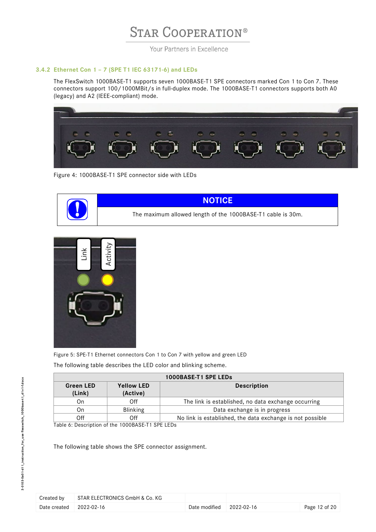Your Partners in Excellence

#### <span id="page-11-0"></span>**3.4.2 Ethernet Con 1 – 7 (SPE T1 IEC 63171-6) and LEDs**

The FlexSwitch 1000BASE-T1 supports seven 1000BASE-T1 SPE connectors marked Con 1 to Con 7. These connectors support 100/1000MBit/s in full-duplex mode. The 1000BASE-T1 connectors supports both A0 (legacy) and A2 (IEEE-compliant) mode.



<span id="page-11-2"></span>Figure 4: 1000BASE-T1 SPE connector side with LEDs





<span id="page-11-3"></span>Figure 5: SPE-T1 Ethernet connectors Con 1 to Con 7 with yellow and green LED

The following table describes the LED color and blinking scheme.

| 1000BASE-T1 SPE LEDs                                                              |                 |                                                           |
|-----------------------------------------------------------------------------------|-----------------|-----------------------------------------------------------|
| <b>Yellow LED</b><br><b>Green LED</b><br><b>Description</b><br>(Link)<br>(Active) |                 |                                                           |
|                                                                                   |                 |                                                           |
| On                                                                                | Off             | The link is established, no data exchange occurring       |
| On                                                                                | <b>Blinking</b> | Data exchange is in progress                              |
| Off                                                                               | Off             | No link is established, the data exchange is not possible |

<span id="page-11-1"></span>Table 6: Description of the 1000BASE-T1 SPE LEDs

| Created by              | STAR ELECTRONICS GmbH & Co. KG |                                      |               |
|-------------------------|--------------------------------|--------------------------------------|---------------|
| Date created 2022-02-16 |                                | Date modified $\parallel$ 2022-02-16 | Page 12 of 20 |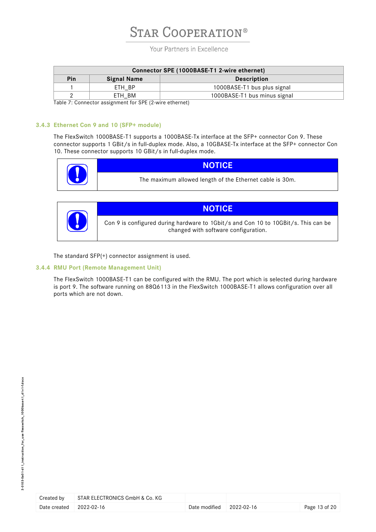Your Partners in Excellence

| Connector SPE (1000BASE-T1 2-wire ethernet) |                    |                              |  |
|---------------------------------------------|--------------------|------------------------------|--|
| Pin                                         | <b>Signal Name</b> | <b>Description</b>           |  |
|                                             | ETH BP             | 1000BASE-T1 bus plus signal  |  |
|                                             | ETH BM             | 1000BASE-T1 bus minus signal |  |

<span id="page-12-2"></span>Table 7: Connector assignment for SPE (2-wire ethernet)

#### <span id="page-12-0"></span>**3.4.3 Ethernet Con 9 and 10 (SFP+ module)**

The FlexSwitch 1000BASE-T1 supports a 1000BASE-Tx interface at the SFP+ connector Con 9. These connector supports 1 GBit/s in full-duplex mode. Also, a 10GBASE-Tx interface at the SFP+ connector Con 10. These connector supports 10 GBit/s in full-duplex mode.

|                                                          | <u>LOZ</u> | <b>NOTICE</b> |
|----------------------------------------------------------|------------|---------------|
| The maximum allowed length of the Ethernet cable is 30m. |            |               |

|   | <b>NOTICE</b>                                                                                                              |
|---|----------------------------------------------------------------------------------------------------------------------------|
| 0 | Con 9 is configured during hardware to 1Gbit/s and Con 10 to 10GBit/s. This can be<br>changed with software configuration. |

The standard SFP(+) connector assignment is used.

#### <span id="page-12-1"></span>**3.4.4 RMU Port (Remote Management Unit)**

The FlexSwitch 1000BASE-T1 can be configured with the RMU. The port which is selected during hardware is port 9. The software running on 88Q6113 in the FlexSwitch 1000BASE-T1 allows configuration over all ports which are not down.

| Created by              | STAR ELECTRONICS GmbH & Co. KG |               |                  |
|-------------------------|--------------------------------|---------------|------------------|
| Date created 2022-02-16 |                                | Date modified | $2022 - 02 - 16$ |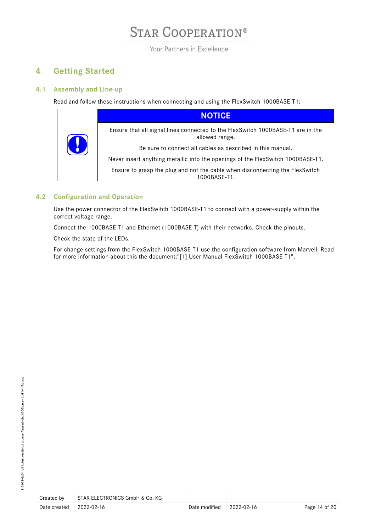Your Partners in Excellence

## <span id="page-13-0"></span>**4 Getting Started**

## <span id="page-13-1"></span>**4.1 Assembly and Line-up**

Read and follow these instructions when connecting and using the FlexSwitch 1000BASE-T1:

|   | <b>NOTICE</b>                                                                                     |
|---|---------------------------------------------------------------------------------------------------|
| U | Ensure that all signal lines connected to the FlexSwitch 1000BASE-T1 are in the<br>allowed range. |
|   | Be sure to connect all cables as described in this manual.                                        |
|   | Never insert anything metallic into the openings of the FlexSwitch 1000BASE-T1.                   |
|   | Ensure to grasp the plug and not the cable when disconnecting the FlexSwitch<br>1000BASE-T1.      |

## <span id="page-13-2"></span>**4.2 Configuration and Operation**

Use the power connector of the FlexSwitch 1000BASE-T1 to connect with a power-supply within the correct voltage range.

Connect the 1000BASE-T1 and Ethernet (1000BASE-T) with their networks. Check the pinouts.

Check the state of the LEDs.

For change settings from the FlexSwitch 1000BASE-T1 use the configuration software from Marvell. Read for more information about this the document:"[1] User-Manual FlexSwitch 1000BASE-T1".

| Created by   | STAR ELECTRONICS GmbH & Co. KG |             |
|--------------|--------------------------------|-------------|
| Date created | 2022-02-16                     | Date modifi |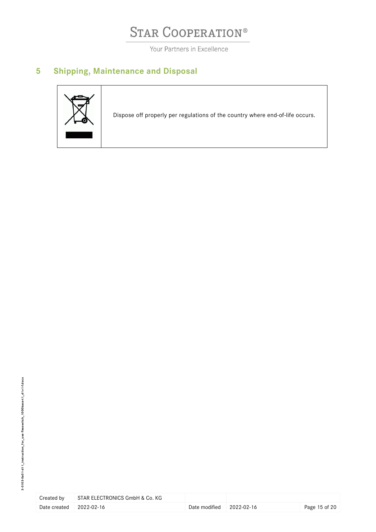Your Partners in Excellence

## <span id="page-14-0"></span>**5 Shipping, Maintenance and Disposal**



| Created by   | STAR ELECTRONICS GmbH & Co. KG |          |
|--------------|--------------------------------|----------|
| Date created | 2022-02-16                     | Date mor |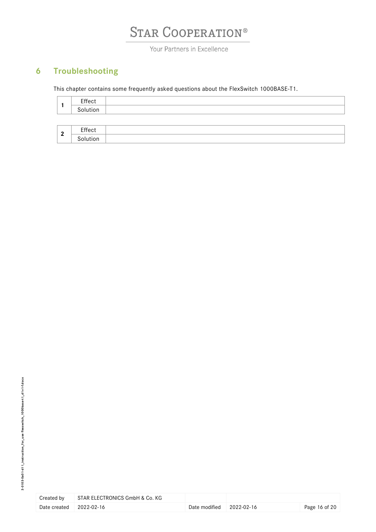Your Partners in Excellence

## <span id="page-15-0"></span>**6 Troubleshooting**

This chapter contains some frequently asked questions about the FlexSwitch 1000BASE-T1.

|              | Effect<br>Solution |  |
|--------------|--------------------|--|
|              |                    |  |
| $\mathbf{2}$ | Effect             |  |
|              | Solution           |  |

| Created by   | STAR ELECTRONICS GmbH & Co. KG |              |
|--------------|--------------------------------|--------------|
| Date created | 2022-02-16                     | Date modifie |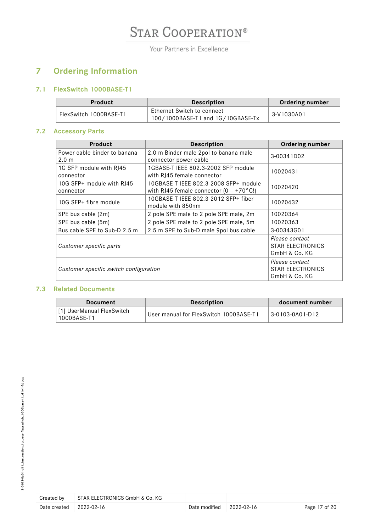Your Partners in Excellence

## <span id="page-16-0"></span>**7 Ordering Information**

## **7.1 FlexSwitch 1000BASE-T1**

<span id="page-16-1"></span>

| <b>Product</b>         | <b>Description</b>                                              | <b>Ordering number</b> |
|------------------------|-----------------------------------------------------------------|------------------------|
| FlexSwitch 1000BASE-T1 | Ethernet Switch to connect<br>100/1000BASE-T1 and 1G/10GBASE-Tx | 3-V1030A01             |

## <span id="page-16-2"></span>**7.2 Accessory Parts**

| <b>Product</b>                                   | <b>Description</b>                                                                        | <b>Ordering number</b>                              |
|--------------------------------------------------|-------------------------------------------------------------------------------------------|-----------------------------------------------------|
| Power cable binder to banana<br>2.0 <sub>m</sub> | 2.0 m Binder male 2pol to banana male<br>connector power cable                            | 3-00341D02                                          |
| 1G SFP module with RJ45<br>connector             | 1GBASE-T IEEE 802.3-2002 SFP module<br>with RJ45 female connector                         | 10020431                                            |
| 10G SFP+ module with RJ45<br>connector           | 10GBASE-T IEEE 802.3-2008 SFP+ module<br>with RJ45 female connector $(0 - +70^{\circ}C!)$ | 10020420                                            |
| 10G SFP+ fibre module                            | 10GBASE-T IEEE 802.3-2012 SFP+ fiber<br>module with 850nm                                 | 10020432                                            |
| SPE bus cable (2m)                               | 2 pole SPE male to 2 pole SPE male, 2m                                                    | 10020364                                            |
| SPE bus cable (5m)                               | 2 pole SPE male to 2 pole SPE male, 5m                                                    | 10020363                                            |
| Bus cable SPE to Sub-D 2.5 m                     | 2.5 m SPE to Sub-D male 9pol bus cable                                                    | 3-00343G01                                          |
| Customer specific parts                          | Please contact<br><b>STAR ELECTRONICS</b><br>GmbH & Co. KG                                |                                                     |
| Customer specific switch configuration           |                                                                                           | Please contact<br>STAR ELECTRONICS<br>GmbH & Co. KG |

## <span id="page-16-3"></span>**7.3 Related Documents**

| Document                                 | <b>Description</b>                     | document number |
|------------------------------------------|----------------------------------------|-----------------|
| [1] UserManual FlexSwitch<br>1000BASE-T1 | User manual for FlexSwitch 1000BASE-T1 | 3-0103-0A01-D12 |

| Created by   | STAR ELECTRONICS GmbH & Co. KG |                          |  |
|--------------|--------------------------------|--------------------------|--|
| Date created | 2022-02-16                     | Date modified 2022-02-16 |  |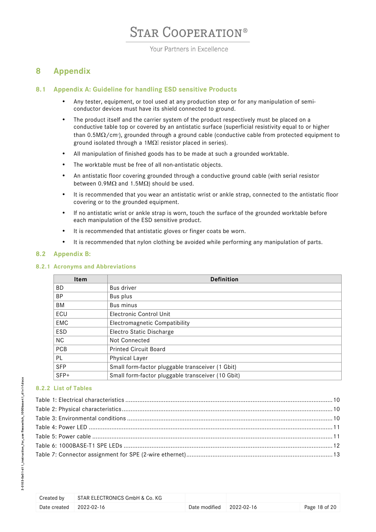Your Partners in Excellence

## <span id="page-17-0"></span>**8 Appendix**

## <span id="page-17-1"></span>**8.1 Appendix A: Guideline for handling ESD sensitive Products**

- Any tester, equipment, or tool used at any production step or for any manipulation of semiconductor devices must have its shield connected to ground.
- The product itself and the carrier system of the product respectively must be placed on a conductive table top or covered by an antistatic surface (superficial resistivity equal to or higher than 0.5M $\Omega$ /cm<sup>,</sup>), grounded through a ground cable (conductive cable from protected equipment to ground isolated through a 1M $\Omega$  resistor placed in series).
- All manipulation of finished goods has to be made at such a grounded worktable.
- The worktable must be free of all non-antistatic objects.
- An antistatic floor covering grounded through a conductive ground cable (with serial resistor between 0.9M $\Omega$  and 1.5M $\Omega$ ) should be used.
- It is recommended that you wear an antistatic wrist or ankle strap, connected to the antistatic floor covering or to the grounded equipment.
- If no antistatic wrist or ankle strap is worn, touch the surface of the grounded worktable before each manipulation of the ESD sensitive product.
- It is recommended that antistatic gloves or finger coats be worn.
- It is recommended that nylon clothing be avoided while performing any manipulation of parts.

### <span id="page-17-2"></span>**8.2 Appendix B:**

### <span id="page-17-3"></span>**8.2.1 Acronyms and Abbreviations**

| <b>Item</b> | <b>Definition</b>                                 |
|-------------|---------------------------------------------------|
| BD.         | Bus driver                                        |
| <b>BP</b>   | Bus plus                                          |
| BM          | Bus minus                                         |
| ECU         | <b>Electronic Control Unit</b>                    |
| EMC         | Electromagnetic Compatibility                     |
| ESD         | Electro Static Discharge                          |
| NC.         | Not Connected                                     |
| <b>PCB</b>  | <b>Printed Circuit Board</b>                      |
| <b>PL</b>   | Physical Layer                                    |
| <b>SFP</b>  | Small form-factor pluggable transceiver (1 Gbit)  |
| $SFP+$      | Small form-factor pluggable transceiver (10 Gbit) |

### <span id="page-17-4"></span>**8.2.2 List of Tables**

| Created by              | STAR ELECTRONICS GmbH & Co. KG |                                   |               |
|-------------------------|--------------------------------|-----------------------------------|---------------|
| Date created 2022-02-16 |                                | Date modified $\qquad$ 2022-02-16 | Page 18 of 20 |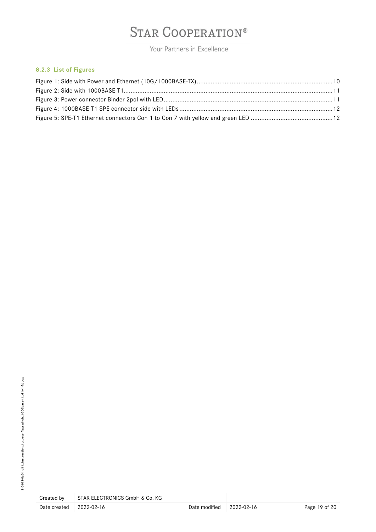Your Partners in Excellence

### <span id="page-18-0"></span>**8.2.3 List of Figures**

| Created by   | STAR ELECTRONICS GmbH & Co. KG |             |
|--------------|--------------------------------|-------------|
| Date created | 2022-02-16                     | Date modifi |